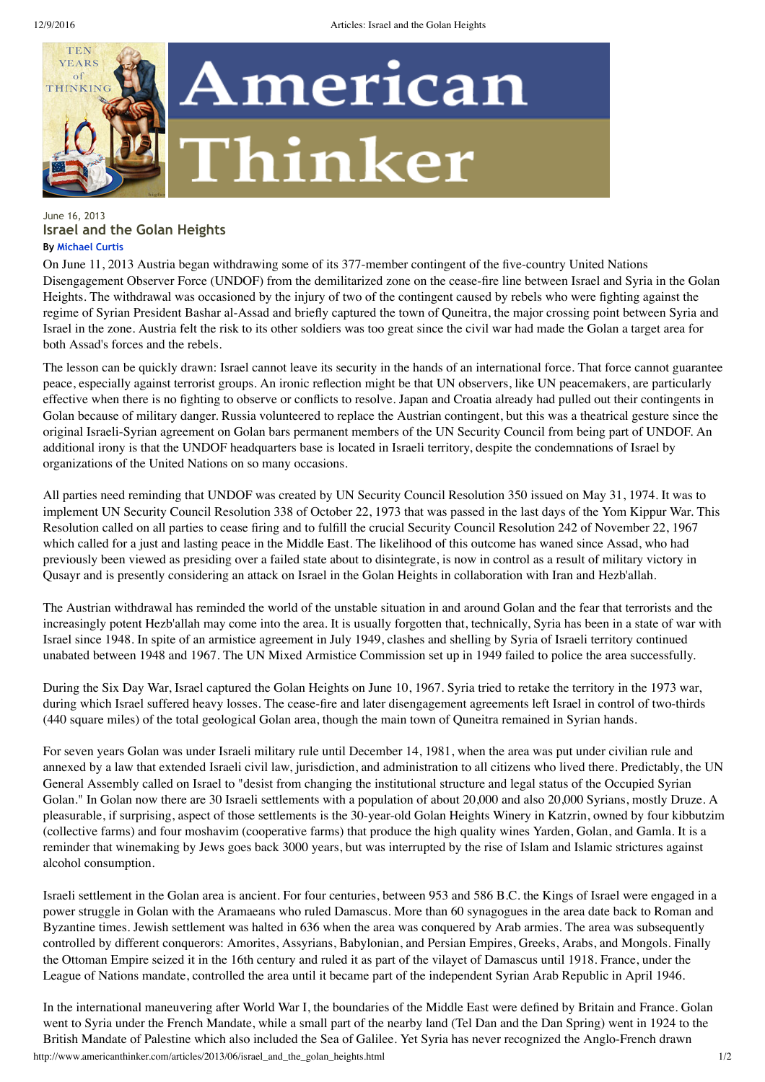

## June 16, 2013 **Israel and the Golan Heights By Michael Curtis**

On June 11, 2013 Austria began withdrawing some of its 377-member contingent of the five-country United Nations Disengagement Observer Force (UNDOF) from the demilitarized zone on the cease-fire line between Israel and Syria in the Golan Heights. The withdrawal was occasioned by the injury of two of the contingent caused by rebels who were fighting against the regime of Syrian President Bashar al-Assad and briefly captured the town of Quneitra, the major crossing point between Syria and Israel in the zone. Austria felt the risk to its other soldiers was too great since the civil war had made the Golan a target area for both Assad's forces and the rebels.

The lesson can be quickly drawn: Israel cannot leave its security in the hands of an international force. That force cannot guarantee peace, especially against terrorist groups. An ironic reflection might be that UN observers, like UN peacemakers, are particularly effective when there is no fighting to observe or conflicts to resolve. Japan and Croatia already had pulled out their contingents in Golan because of military danger. Russia volunteered to replace the Austrian contingent, but this was a theatrical gesture since the original Israeli-Syrian agreement on Golan bars permanent members of the UN Security Council from being part of UNDOF. An additional irony is that the UNDOF headquarters base is located in Israeli territory, despite the condemnations of Israel by organizations of the United Nations on so many occasions.

All parties need reminding that UNDOF was created by UN Security Council Resolution 350 issued on May 31, 1974. It was to implement UN Security Council Resolution 338 of October 22, 1973 that was passed in the last days of the Yom Kippur War. This Resolution called on all parties to cease firing and to fulfill the crucial Security Council Resolution 242 of November 22, 1967 which called for a just and lasting peace in the Middle East. The likelihood of this outcome has waned since Assad, who had previously been viewed as presiding over a failed state about to disintegrate, is now in control as a result of military victory in Qusayr and is presently considering an attack on Israel in the Golan Heights in collaboration with Iran and Hezb'allah.

The Austrian withdrawal has reminded the world of the unstable situation in and around Golan and the fear that terrorists and the increasingly potent Hezb'allah may come into the area. It is usually forgotten that, technically, Syria has been in a state of war with Israel since 1948. In spite of an armistice agreement in July 1949, clashes and shelling by Syria of Israeli territory continued unabated between 1948 and 1967. The UN Mixed Armistice Commission set up in 1949 failed to police the area successfully.

During the Six Day War, Israel captured the Golan Heights on June 10, 1967. Syria tried to retake the territory in the 1973 war, during which Israel suffered heavy losses. The cease-fire and later disengagement agreements left Israel in control of two-thirds (440 square miles) of the total geological Golan area, though the main town of Quneitra remained in Syrian hands.

For seven years Golan was under Israeli military rule until December 14, 1981, when the area was put under civilian rule and annexed by a law that extended Israeli civil law, jurisdiction, and administration to all citizens who lived there. Predictably, the UN General Assembly called on Israel to "desist from changing the institutional structure and legal status of the Occupied Syrian Golan." In Golan now there are 30 Israeli settlements with a population of about 20,000 and also 20,000 Syrians, mostly Druze. A pleasurable, if surprising, aspect of those settlements is the 30-year-old Golan Heights Winery in Katzrin, owned by four kibbutzim (collective farms) and four moshavim (cooperative farms) that produce the high quality wines Yarden, Golan, and Gamla. It is a reminder that winemaking by Jews goes back 3000 years, but was interrupted by the rise of Islam and Islamic strictures against alcohol consumption.

Israeli settlement in the Golan area is ancient. For four centuries, between 953 and 586 B.C. the Kings of Israel were engaged in a power struggle in Golan with the Aramaeans who ruled Damascus. More than 60 synagogues in the area date back to Roman and Byzantine times. Jewish settlement was halted in 636 when the area was conquered by Arab armies. The area was subsequently controlled by different conquerors: Amorites, Assyrians, Babylonian, and Persian Empires, Greeks, Arabs, and Mongols. Finally the Ottoman Empire seized it in the 16th century and ruled it as part of the vilayet of Damascus until 1918. France, under the League of Nations mandate, controlled the area until it became part of the independent Syrian Arab Republic in April 1946.

http://www.americanthinker.com/articles/2013/06/israel\_and\_the\_golan\_heights.html 1/2 In the international maneuvering after World War I, the boundaries of the Middle East were defined by Britain and France. Golan went to Syria under the French Mandate, while a small part of the nearby land (Tel Dan and the Dan Spring) went in 1924 to the British Mandate of Palestine which also included the Sea of Galilee. Yet Syria has never recognized the Anglo-French drawn